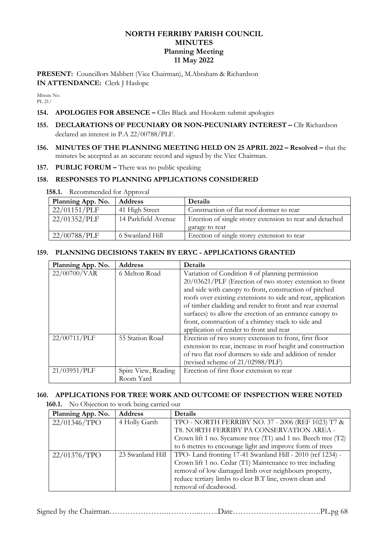# **NORTH FERRIBY PARISH COUNCIL MINUTES Planning Meeting 11 May 2022**

**PRESENT:** Councillors Mabbett (Vice Chairman), M.Abraham & Richardson **IN ATTENDANCE:** Clerk J Haslope

Minute No. PL 21/

# **154. APOLOGIES FOR ABSENCE –** Cllrs Black and Hookem submit apologies

- **155. DECLARATIONS OF PECUNIARY OR NON-PECUNIARY INTEREST –** Cllr Richardson declared an interest in P.A 22/00788/PLF.
- **156. MINUTES OF THE PLANNING MEETING HELD ON 25 APRIL 2022 – Resolved –** that the minutes be accepted as an accurate record and signed by the Vice Chairman.

### **157. PUBLIC FORUM –** There was no public speaking

#### **158. RESPONSES TO PLANNING APPLICATIONS CONSIDERED**

**158.1.** Recommended for Approval

| Planning App. No. | <b>Address</b>      | <b>Details</b>                                           |
|-------------------|---------------------|----------------------------------------------------------|
| 22/01151/PLF      | 41 High Street      | Construction of flat roof dormer to rear                 |
| 22/01352/PLF      | 14 Parkfield Avenue | Erection of single storey extension to rear and detached |
|                   |                     | garage to rear                                           |
| 22/00788/PLF      | 6 Swanland Hill     | Erection of single storey extension to rear              |

## **159. PLANNING DECISIONS TAKEN BY ERYC - APPLICATIONS GRANTED**

| Planning App. No. | <b>Address</b>      | <b>Details</b>                                               |  |
|-------------------|---------------------|--------------------------------------------------------------|--|
| 22/00700/VAR      | 6 Melton Road       | Variation of Condition 4 of planning permission              |  |
|                   |                     | 20/03621/PLF (Erection of two storey extension to front      |  |
|                   |                     | and side with canopy to front, construction of pitched       |  |
|                   |                     | roofs over existing extensions to side and rear, application |  |
|                   |                     | of timber cladding and render to front and rear external     |  |
|                   |                     | surfaces) to allow the erection of an entrance canopy to     |  |
|                   |                     | front, construction of a chimney stack to side and           |  |
|                   |                     | application of render to front and rear                      |  |
| 22/00711/PLF      | 55 Station Road     | Erection of two storey extension to front, first floor       |  |
|                   |                     | extension to rear, increase in roof height and construction  |  |
|                   |                     | of two flat roof dormers to side and addition of render      |  |
|                   |                     | (revised scheme of $21/02988$ /PLF)                          |  |
| 21/03951/PLF      | Spire View, Reading | Erection of first floor extension to rear                    |  |
|                   | Room Yard           |                                                              |  |

## **160. APPLICATIONS FOR TREE WORK AND OUTCOME OF INSPECTION WERE NOTED**

**160.1.** No Objection to work being carried out

| Planning App. No. | <b>Address</b>   | Details                                                       |
|-------------------|------------------|---------------------------------------------------------------|
| 22/01346/TPO      | 4 Holly Garth    | TPO - NORTH FERRIBY NO. 37 - 2006 (REF 1023) T7 &             |
|                   |                  | T8. NORTH FERRIBY PA CONSERVATION AREA -                      |
|                   |                  | Crown lift 1 no. Sycamore tree (T1) and 1 no. Beech tree (T2) |
|                   |                  | to 6 metres to encourage light and improve form of trees      |
| 22/01376/TPO      | 23 Swanland Hill | TPO- Land fronting 17-41 Swanland Hill - 2010 (ref 1234) -    |
|                   |                  | Crown lift 1 no. Cedar (T1) Maintenance to tree including     |
|                   |                  | removal of low damaged limb over neighbours property,         |
|                   |                  | reduce tertiary limbs to cleat B.T line, crown clean and      |
|                   |                  | removal of deadwood.                                          |

Signed by the Chairman………………….…………..…….Date…………………………….PL.pg 68